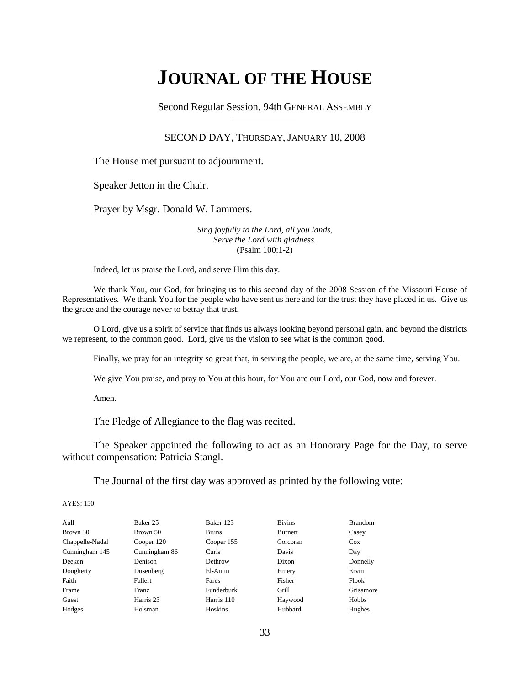# **JOURNAL OF THE HOUSE**

Second Regular Session, 94th GENERAL ASSEMBLY

## SECOND DAY, THURSDAY, JANUARY 10, 2008

The House met pursuant to adjournment.

Speaker Jetton in the Chair.

Prayer by Msgr. Donald W. Lammers.

*Sing joyfully to the Lord, all you lands, Serve the Lord with gladness.* (Psalm 100:1-2)

Indeed, let us praise the Lord, and serve Him this day.

We thank You, our God, for bringing us to this second day of the 2008 Session of the Missouri House of Representatives. We thank You for the people who have sent us here and for the trust they have placed in us. Give us the grace and the courage never to betray that trust.

O Lord, give us a spirit of service that finds us always looking beyond personal gain, and beyond the districts we represent, to the common good. Lord, give us the vision to see what is the common good.

Finally, we pray for an integrity so great that, in serving the people, we are, at the same time, serving You.

We give You praise, and pray to You at this hour, for You are our Lord, our God, now and forever.

Amen.

The Pledge of Allegiance to the flag was recited.

The Speaker appointed the following to act as an Honorary Page for the Day, to serve without compensation: Patricia Stangl.

The Journal of the first day was approved as printed by the following vote:

AYES: 150

| Aull            | Baker 25      | Baker 123    | <b>Bivins</b>  | <b>Brandom</b> |
|-----------------|---------------|--------------|----------------|----------------|
| Brown 30        | Brown 50      | <b>Bruns</b> | <b>Burnett</b> | Casey          |
| Chappelle-Nadal | Cooper 120    | Cooper 155   | Corcoran       | $\cos$         |
| Cunningham 145  | Cunningham 86 | Curls        | Davis          | Day            |
| Deeken          | Denison       | Dethrow      | Dixon          | Donnelly       |
| Dougherty       | Dusenberg     | El-Amin      | Emery          | Ervin          |
| Faith           | Fallert       | Fares        | Fisher         | Flook          |
| Frame           | Franz         | Funderburk   | Grill          | Grisamore      |
| Guest           | Harris 23     | Harris 110   | Haywood        | Hobbs          |
| Hodges          | Holsman       | Hoskins      | Hubbard        | Hughes         |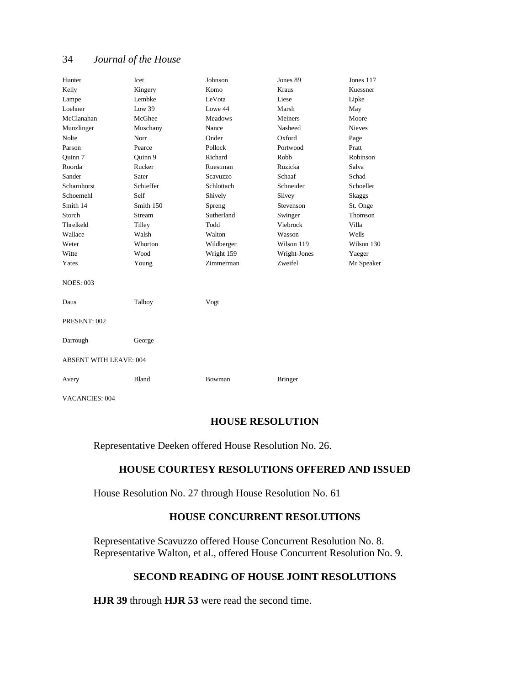| Hunter                        | Icet      | Johnson        | Jones 89       | Jones 117     |
|-------------------------------|-----------|----------------|----------------|---------------|
| Kelly                         | Kingery   | Komo           | <b>Kraus</b>   | Kuessner      |
| Lampe                         | Lembke    | LeVota         | Liese          | Lipke         |
| Loehner                       | Low $39$  | Lowe 44        | Marsh          | May           |
| McClanahan                    | McGhee    | <b>Meadows</b> | Meiners        | Moore         |
| Munzlinger                    | Muschany  | Nance          | Nasheed        | <b>Nieves</b> |
| Nolte                         | Norr      | Onder          | Oxford         | Page          |
| Parson                        | Pearce    | Pollock        | Portwood       | Pratt         |
| Ouinn 7                       | Ouinn 9   | Richard        | Robb           | Robinson      |
| Roorda                        | Rucker    | Ruestman       | Ruzicka        | Salva         |
| Sander                        | Sater     | Scavuzzo       | Schaaf         | Schad         |
| Scharnhorst                   | Schieffer | Schlottach     | Schneider      | Schoeller     |
| Schoemehl                     | Self      | Shively        | Silvey         | Skaggs        |
| Smith 14                      | Smith 150 | Spreng         | Stevenson      | St. Onge      |
| Storch                        | Stream    | Sutherland     | Swinger        | Thomson       |
| Threlkeld                     | Tilley    | Todd           | Viebrock       | Villa         |
| Wallace                       | Walsh     | Walton         | Wasson         | Wells         |
| Weter                         | Whorton   | Wildberger     | Wilson 119     | Wilson 130    |
| Witte                         | Wood      | Wright 159     | Wright-Jones   | Yaeger        |
| Yates                         | Young     | Zimmerman      | Zweifel        | Mr Speaker    |
| <b>NOES: 003</b>              |           |                |                |               |
| Daus                          | Talboy    | Vogt           |                |               |
| PRESENT: 002                  |           |                |                |               |
| Darrough                      | George    |                |                |               |
| <b>ABSENT WITH LEAVE: 004</b> |           |                |                |               |
| Avery                         | Bland     | Bowman         | <b>Bringer</b> |               |
| <b>VACANCIES: 004</b>         |           |                |                |               |

## **HOUSE RESOLUTION**

Representative Deeken offered House Resolution No. 26.

## **HOUSE COURTESY RESOLUTIONS OFFERED AND ISSUED**

House Resolution No. 27 through House Resolution No. 61

# **HOUSE CONCURRENT RESOLUTIONS**

Representative Scavuzzo offered House Concurrent Resolution No. 8. Representative Walton, et al., offered House Concurrent Resolution No. 9.

# **SECOND READING OF HOUSE JOINT RESOLUTIONS**

**HJR 39** through **HJR 53** were read the second time.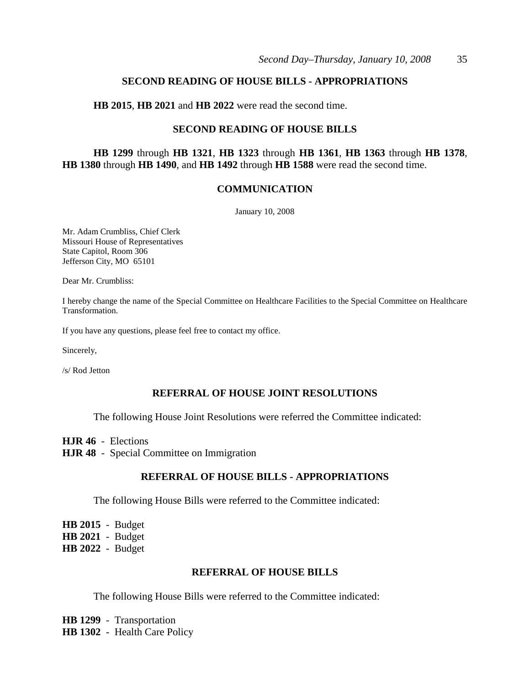## **SECOND READING OF HOUSE BILLS - APPROPRIATIONS**

**HB 2015**, **HB 2021** and **HB 2022** were read the second time.

## **SECOND READING OF HOUSE BILLS**

**HB 1299** through **HB 1321**, **HB 1323** through **HB 1361**, **HB 1363** through **HB 1378**, **HB 1380** through **HB 1490**, and **HB 1492** through **HB 1588** were read the second time.

## **COMMUNICATION**

January 10, 2008

Mr. Adam Crumbliss, Chief Clerk Missouri House of Representatives State Capitol, Room 306 Jefferson City, MO 65101

Dear Mr. Crumbliss:

I hereby change the name of the Special Committee on Healthcare Facilities to the Special Committee on Healthcare Transformation.

If you have any questions, please feel free to contact my office.

Sincerely,

/s/ Rod Jetton

## **REFERRAL OF HOUSE JOINT RESOLUTIONS**

The following House Joint Resolutions were referred the Committee indicated:

**HJR 46** - Elections

**HJR 48** - Special Committee on Immigration

## **REFERRAL OF HOUSE BILLS - APPROPRIATIONS**

The following House Bills were referred to the Committee indicated:

**HB 2015** - Budget **HB 2021** - Budget **HB 2022** - Budget

## **REFERRAL OF HOUSE BILLS**

The following House Bills were referred to the Committee indicated:

**HB 1299** - Transportation **HB 1302** - Health Care Policy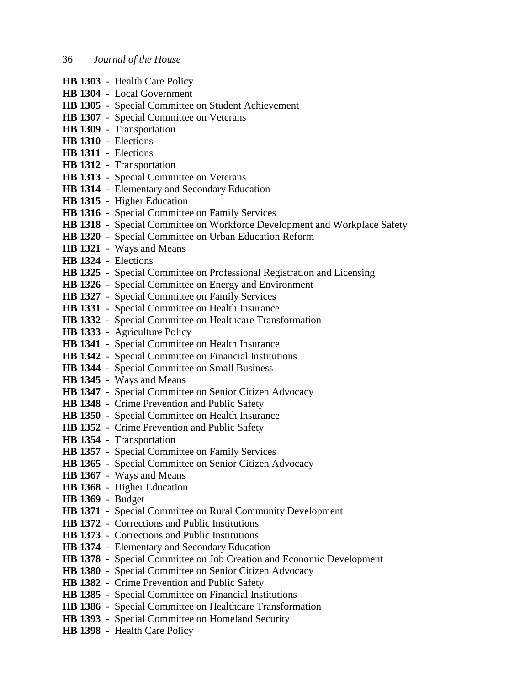- **HB 1303** Health Care Policy **HB 1304** - Local Government **HB 1305** - Special Committee on Student Achievement **HB 1307** - Special Committee on Veterans **HB 1309** - Transportation **HB 1310** - Elections **HB 1311** - Elections **HB 1312** - Transportation **HB 1313** - Special Committee on Veterans **HB 1314** - Elementary and Secondary Education **HB 1315** - Higher Education **HB 1316** - Special Committee on Family Services **HB 1318** - Special Committee on Workforce Development and Workplace Safety **HB 1320** - Special Committee on Urban Education Reform **HB 1321** - Ways and Means **HB 1324** - Elections **HB 1325** - Special Committee on Professional Registration and Licensing **HB 1326** - Special Committee on Energy and Environment **HB 1327** - Special Committee on Family Services **HB 1331** - Special Committee on Health Insurance **HB 1332** - Special Committee on Healthcare Transformation **HB 1333** - Agriculture Policy **HB 1341** - Special Committee on Health Insurance **HB 1342** - Special Committee on Financial Institutions **HB 1344** - Special Committee on Small Business **HB 1345** - Ways and Means **HB 1347** - Special Committee on Senior Citizen Advocacy **HB 1348** - Crime Prevention and Public Safety **HB 1350** - Special Committee on Health Insurance **HB 1352** - Crime Prevention and Public Safety **HB 1354** - Transportation **HB 1357** - Special Committee on Family Services **HB 1365** - Special Committee on Senior Citizen Advocacy **HB 1367** - Ways and Means **HB 1368** - Higher Education **HB 1369** - Budget **HB 1371** - Special Committee on Rural Community Development **HB 1372** - Corrections and Public Institutions **HB 1373** - Corrections and Public Institutions
- **HB 1374** Elementary and Secondary Education
- **HB 1378** Special Committee on Job Creation and Economic Development
- **HB 1380** Special Committee on Senior Citizen Advocacy
- **HB 1382** Crime Prevention and Public Safety
- **HB 1385** Special Committee on Financial Institutions
- **HB 1386** Special Committee on Healthcare Transformation
- **HB 1393** Special Committee on Homeland Security
- **HB 1398** Health Care Policy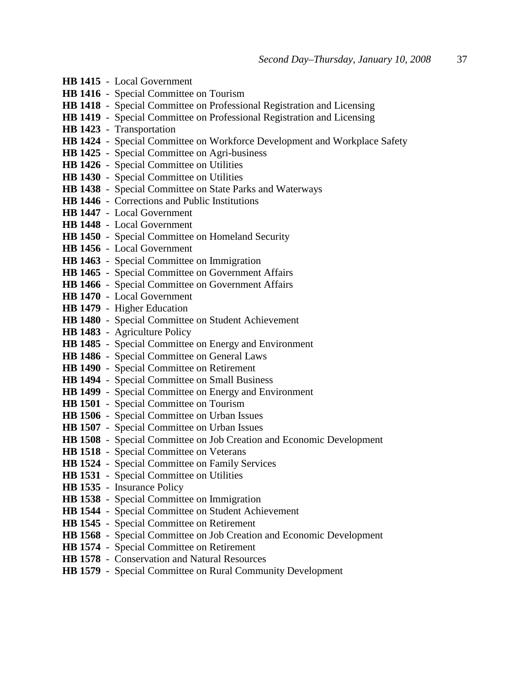| HB 1415 - Local Government                                                    |
|-------------------------------------------------------------------------------|
| <b>HB 1416</b> - Special Committee on Tourism                                 |
| HB 1418 - Special Committee on Professional Registration and Licensing        |
| <b>HB 1419</b> - Special Committee on Professional Registration and Licensing |
| HB 1423 - Transportation                                                      |
| HB 1424 - Special Committee on Workforce Development and Workplace Safety     |
| HB 1425 - Special Committee on Agri-business                                  |
| HB 1426 - Special Committee on Utilities                                      |
| HB 1430 - Special Committee on Utilities                                      |
| HB 1438 - Special Committee on State Parks and Waterways                      |
| <b>HB 1446</b> - Corrections and Public Institutions                          |
| HB 1447 - Local Government                                                    |
| <b>HB 1448</b> - Local Government                                             |
| HB 1450 - Special Committee on Homeland Security                              |
| <b>HB 1456</b> - Local Government                                             |
| HB 1463 - Special Committee on Immigration                                    |
| HB 1465 - Special Committee on Government Affairs                             |
| HB 1466 - Special Committee on Government Affairs                             |
| HB 1470 - Local Government                                                    |
| HB 1479 - Higher Education                                                    |
| HB 1480 - Special Committee on Student Achievement                            |
| HB 1483 - Agriculture Policy                                                  |
| HB 1485 - Special Committee on Energy and Environment                         |
| HB 1486 - Special Committee on General Laws                                   |
| HB 1490 - Special Committee on Retirement                                     |
| HB 1494 - Special Committee on Small Business                                 |
| HB 1499 - Special Committee on Energy and Environment                         |
| HB 1501 - Special Committee on Tourism                                        |
| <b>HB 1506</b> - Special Committee on Urban Issues                            |
| HB 1507 - Special Committee on Urban Issues                                   |
| HB 1508 - Special Committee on Job Creation and Economic Development          |
| HB 1518 - Special Committee on Veterans                                       |
| <b>HB 1524</b> - Special Committee on Family Services                         |
| HB 1531 - Special Committee on Utilities                                      |
| HB 1535 - Insurance Policy                                                    |
| HB 1538 - Special Committee on Immigration                                    |
| HB 1544 - Special Committee on Student Achievement                            |
| HB 1545 - Special Committee on Retirement                                     |
| HB 1568 - Special Committee on Job Creation and Economic Development          |
| HB 1574 - Special Committee on Retirement                                     |
| HB 1578 - Conservation and Natural Resources                                  |
| HB 1579 - Special Committee on Rural Community Development                    |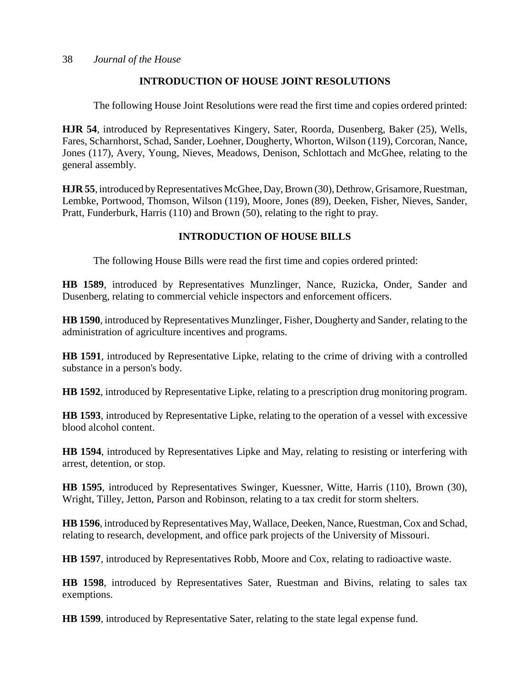# **INTRODUCTION OF HOUSE JOINT RESOLUTIONS**

The following House Joint Resolutions were read the first time and copies ordered printed:

**HJR 54**, introduced by Representatives Kingery, Sater, Roorda, Dusenberg, Baker (25), Wells, Fares, Scharnhorst, Schad, Sander, Loehner, Dougherty, Whorton, Wilson (119), Corcoran, Nance, Jones (117), Avery, Young, Nieves, Meadows, Denison, Schlottach and McGhee, relating to the general assembly.

**HJR 55**, introduced by Representatives McGhee, Day, Brown (30), Dethrow, Grisamore, Ruestman, Lembke, Portwood, Thomson, Wilson (119), Moore, Jones (89), Deeken, Fisher, Nieves, Sander, Pratt, Funderburk, Harris (110) and Brown (50), relating to the right to pray.

# **INTRODUCTION OF HOUSE BILLS**

The following House Bills were read the first time and copies ordered printed:

**HB 1589**, introduced by Representatives Munzlinger, Nance, Ruzicka, Onder, Sander and Dusenberg, relating to commercial vehicle inspectors and enforcement officers.

**HB 1590**, introduced by Representatives Munzlinger, Fisher, Dougherty and Sander, relating to the administration of agriculture incentives and programs.

**HB 1591**, introduced by Representative Lipke, relating to the crime of driving with a controlled substance in a person's body.

**HB 1592**, introduced by Representative Lipke, relating to a prescription drug monitoring program.

**HB 1593**, introduced by Representative Lipke, relating to the operation of a vessel with excessive blood alcohol content.

**HB 1594**, introduced by Representatives Lipke and May, relating to resisting or interfering with arrest, detention, or stop.

**HB 1595**, introduced by Representatives Swinger, Kuessner, Witte, Harris (110), Brown (30), Wright, Tilley, Jetton, Parson and Robinson, relating to a tax credit for storm shelters.

**HB 1596**, introduced by Representatives May, Wallace, Deeken, Nance, Ruestman, Cox and Schad, relating to research, development, and office park projects of the University of Missouri.

**HB 1597**, introduced by Representatives Robb, Moore and Cox, relating to radioactive waste.

**HB 1598**, introduced by Representatives Sater, Ruestman and Bivins, relating to sales tax exemptions.

**HB 1599**, introduced by Representative Sater, relating to the state legal expense fund.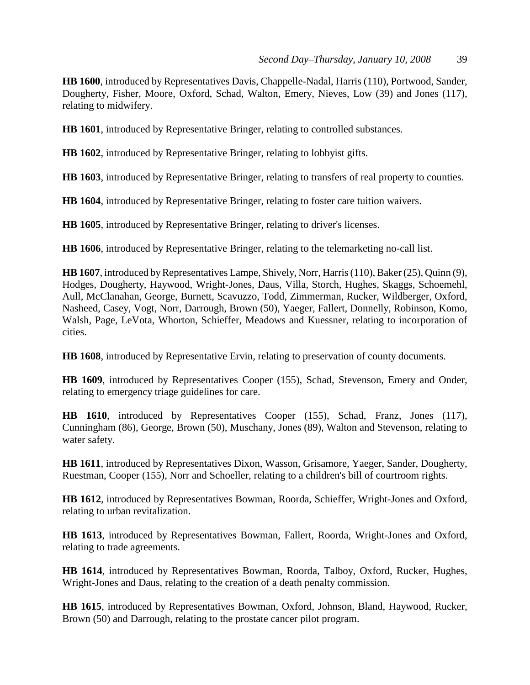**HB 1600**, introduced by Representatives Davis, Chappelle-Nadal, Harris (110), Portwood, Sander, Dougherty, Fisher, Moore, Oxford, Schad, Walton, Emery, Nieves, Low (39) and Jones (117), relating to midwifery.

**HB 1601**, introduced by Representative Bringer, relating to controlled substances.

**HB 1602**, introduced by Representative Bringer, relating to lobbyist gifts.

**HB 1603**, introduced by Representative Bringer, relating to transfers of real property to counties.

**HB 1604**, introduced by Representative Bringer, relating to foster care tuition waivers.

**HB 1605**, introduced by Representative Bringer, relating to driver's licenses.

**HB 1606**, introduced by Representative Bringer, relating to the telemarketing no-call list.

**HB 1607**, introduced by Representatives Lampe, Shively, Norr, Harris (110), Baker (25), Quinn (9), Hodges, Dougherty, Haywood, Wright-Jones, Daus, Villa, Storch, Hughes, Skaggs, Schoemehl, Aull, McClanahan, George, Burnett, Scavuzzo, Todd, Zimmerman, Rucker, Wildberger, Oxford, Nasheed, Casey, Vogt, Norr, Darrough, Brown (50), Yaeger, Fallert, Donnelly, Robinson, Komo, Walsh, Page, LeVota, Whorton, Schieffer, Meadows and Kuessner, relating to incorporation of cities.

**HB 1608**, introduced by Representative Ervin, relating to preservation of county documents.

**HB 1609**, introduced by Representatives Cooper (155), Schad, Stevenson, Emery and Onder, relating to emergency triage guidelines for care.

**HB 1610**, introduced by Representatives Cooper (155), Schad, Franz, Jones (117), Cunningham (86), George, Brown (50), Muschany, Jones (89), Walton and Stevenson, relating to water safety.

**HB 1611**, introduced by Representatives Dixon, Wasson, Grisamore, Yaeger, Sander, Dougherty, Ruestman, Cooper (155), Norr and Schoeller, relating to a children's bill of courtroom rights.

**HB 1612**, introduced by Representatives Bowman, Roorda, Schieffer, Wright-Jones and Oxford, relating to urban revitalization.

**HB 1613**, introduced by Representatives Bowman, Fallert, Roorda, Wright-Jones and Oxford, relating to trade agreements.

**HB 1614**, introduced by Representatives Bowman, Roorda, Talboy, Oxford, Rucker, Hughes, Wright-Jones and Daus, relating to the creation of a death penalty commission.

**HB 1615**, introduced by Representatives Bowman, Oxford, Johnson, Bland, Haywood, Rucker, Brown (50) and Darrough, relating to the prostate cancer pilot program.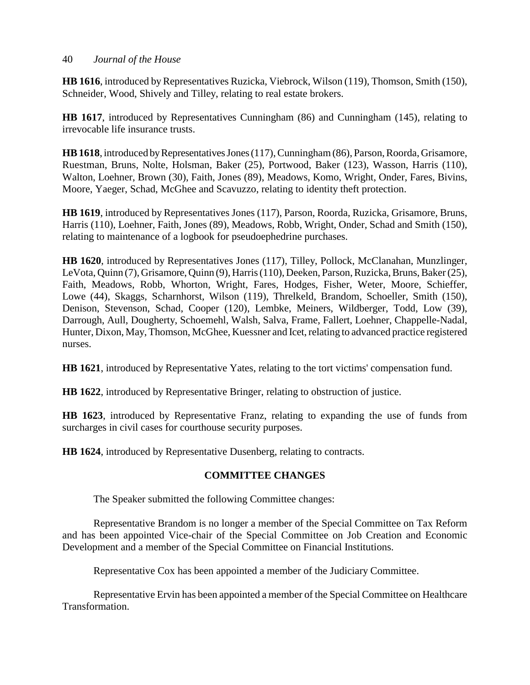**HB 1616**, introduced by Representatives Ruzicka, Viebrock, Wilson (119), Thomson, Smith (150), Schneider, Wood, Shively and Tilley, relating to real estate brokers.

**HB 1617**, introduced by Representatives Cunningham (86) and Cunningham (145), relating to irrevocable life insurance trusts.

**HB 1618**, introduced by Representatives Jones (117), Cunningham (86), Parson, Roorda, Grisamore, Ruestman, Bruns, Nolte, Holsman, Baker (25), Portwood, Baker (123), Wasson, Harris (110), Walton, Loehner, Brown (30), Faith, Jones (89), Meadows, Komo, Wright, Onder, Fares, Bivins, Moore, Yaeger, Schad, McGhee and Scavuzzo, relating to identity theft protection.

**HB 1619**, introduced by Representatives Jones (117), Parson, Roorda, Ruzicka, Grisamore, Bruns, Harris (110), Loehner, Faith, Jones (89), Meadows, Robb, Wright, Onder, Schad and Smith (150), relating to maintenance of a logbook for pseudoephedrine purchases.

**HB 1620**, introduced by Representatives Jones (117), Tilley, Pollock, McClanahan, Munzlinger, LeVota, Quinn (7), Grisamore, Quinn (9), Harris (110), Deeken, Parson, Ruzicka, Bruns, Baker (25), Faith, Meadows, Robb, Whorton, Wright, Fares, Hodges, Fisher, Weter, Moore, Schieffer, Lowe (44), Skaggs, Scharnhorst, Wilson (119), Threlkeld, Brandom, Schoeller, Smith (150), Denison, Stevenson, Schad, Cooper (120), Lembke, Meiners, Wildberger, Todd, Low (39), Darrough, Aull, Dougherty, Schoemehl, Walsh, Salva, Frame, Fallert, Loehner, Chappelle-Nadal, Hunter, Dixon, May, Thomson, McGhee, Kuessner and Icet, relating to advanced practice registered nurses.

**HB 1621**, introduced by Representative Yates, relating to the tort victims' compensation fund.

**HB 1622**, introduced by Representative Bringer, relating to obstruction of justice.

**HB 1623**, introduced by Representative Franz, relating to expanding the use of funds from surcharges in civil cases for courthouse security purposes.

**HB 1624**, introduced by Representative Dusenberg, relating to contracts.

# **COMMITTEE CHANGES**

The Speaker submitted the following Committee changes:

Representative Brandom is no longer a member of the Special Committee on Tax Reform and has been appointed Vice-chair of the Special Committee on Job Creation and Economic Development and a member of the Special Committee on Financial Institutions.

Representative Cox has been appointed a member of the Judiciary Committee.

Representative Ervin has been appointed a member of the Special Committee on Healthcare Transformation.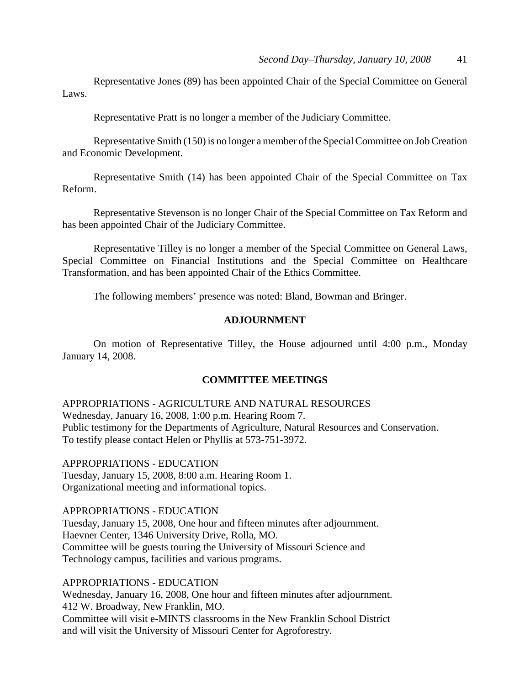Representative Jones (89) has been appointed Chair of the Special Committee on General Laws.

Representative Pratt is no longer a member of the Judiciary Committee.

Representative Smith (150) is no longer a member of the Special Committee on Job Creation and Economic Development.

Representative Smith (14) has been appointed Chair of the Special Committee on Tax Reform.

Representative Stevenson is no longer Chair of the Special Committee on Tax Reform and has been appointed Chair of the Judiciary Committee.

Representative Tilley is no longer a member of the Special Committee on General Laws, Special Committee on Financial Institutions and the Special Committee on Healthcare Transformation, and has been appointed Chair of the Ethics Committee.

The following members' presence was noted: Bland, Bowman and Bringer.

## **ADJOURNMENT**

On motion of Representative Tilley, the House adjourned until 4:00 p.m., Monday January 14, 2008.

#### **COMMITTEE MEETINGS**

APPROPRIATIONS - AGRICULTURE AND NATURAL RESOURCES Wednesday, January 16, 2008, 1:00 p.m. Hearing Room 7. Public testimony for the Departments of Agriculture, Natural Resources and Conservation. To testify please contact Helen or Phyllis at 573-751-3972.

APPROPRIATIONS - EDUCATION Tuesday, January 15, 2008, 8:00 a.m. Hearing Room 1. Organizational meeting and informational topics.

APPROPRIATIONS - EDUCATION

Tuesday, January 15, 2008, One hour and fifteen minutes after adjournment. Haevner Center, 1346 University Drive, Rolla, MO. Committee will be guests touring the University of Missouri Science and Technology campus, facilities and various programs.

#### APPROPRIATIONS - EDUCATION

Wednesday, January 16, 2008, One hour and fifteen minutes after adjournment. 412 W. Broadway, New Franklin, MO. Committee will visit e-MINTS classrooms in the New Franklin School District and will visit the University of Missouri Center for Agroforestry.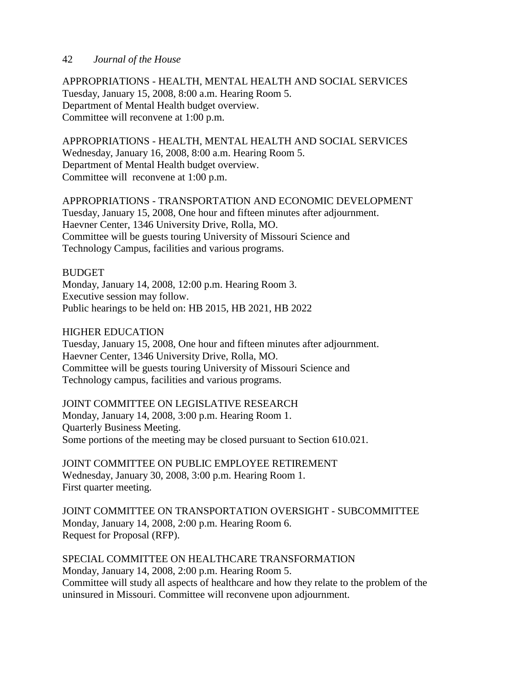APPROPRIATIONS - HEALTH, MENTAL HEALTH AND SOCIAL SERVICES Tuesday, January 15, 2008, 8:00 a.m. Hearing Room 5. Department of Mental Health budget overview. Committee will reconvene at 1:00 p.m.

APPROPRIATIONS - HEALTH, MENTAL HEALTH AND SOCIAL SERVICES Wednesday, January 16, 2008, 8:00 a.m. Hearing Room 5. Department of Mental Health budget overview. Committee will reconvene at 1:00 p.m.

APPROPRIATIONS - TRANSPORTATION AND ECONOMIC DEVELOPMENT Tuesday, January 15, 2008, One hour and fifteen minutes after adjournment. Haevner Center, 1346 University Drive, Rolla, MO. Committee will be guests touring University of Missouri Science and Technology Campus, facilities and various programs.

## BUDGET

Monday, January 14, 2008, 12:00 p.m. Hearing Room 3. Executive session may follow. Public hearings to be held on: HB 2015, HB 2021, HB 2022

## HIGHER EDUCATION

Tuesday, January 15, 2008, One hour and fifteen minutes after adjournment. Haevner Center, 1346 University Drive, Rolla, MO. Committee will be guests touring University of Missouri Science and Technology campus, facilities and various programs.

## JOINT COMMITTEE ON LEGISLATIVE RESEARCH

Monday, January 14, 2008, 3:00 p.m. Hearing Room 1. Quarterly Business Meeting. Some portions of the meeting may be closed pursuant to Section 610.021.

JOINT COMMITTEE ON PUBLIC EMPLOYEE RETIREMENT Wednesday, January 30, 2008, 3:00 p.m. Hearing Room 1. First quarter meeting.

JOINT COMMITTEE ON TRANSPORTATION OVERSIGHT - SUBCOMMITTEE Monday, January 14, 2008, 2:00 p.m. Hearing Room 6. Request for Proposal (RFP).

SPECIAL COMMITTEE ON HEALTHCARE TRANSFORMATION Monday, January 14, 2008, 2:00 p.m. Hearing Room 5. Committee will study all aspects of healthcare and how they relate to the problem of the uninsured in Missouri. Committee will reconvene upon adjournment.